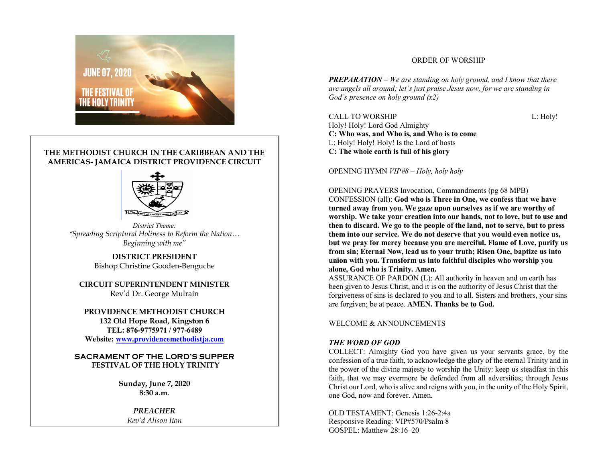

# **THE METHODIST CHURCH IN THE CARIBBEAN AND THE AMERICAS- JAMAICA DISTRICT PROVIDENCE CIRCUIT**



*District Theme: "Spreading Scriptural Holiness to Reform the Nation… Beginning with me"*

> **DISTRICT PRESIDENT** Bishop Christine Gooden-Benguche

**CIRCUIT SUPERINTENDENT MINISTER** Rev'd Dr. George Mulrain

**PROVIDENCE METHODIST CHURCH 132 Old Hope Road, Kingston 6 TEL: 876-9775971 / 977-6489 Website: www.providencemethodistja.com**

**SACRAMENT OF THE LORD'S SUPPER FESTIVAL OF THE HOLY TRINITY**

> **Sunday, June 7, 2020 8:30 a.m.**

> > *PREACHER Rev'd Alison Iton*

# ORDER OF WORSHIP

*PREPARATION – We are standing on holy ground, and I know that there are angels all around; let's just praise Jesus now, for we are standing in God's presence on holy ground (x2)*

CALL TO WORSHIP L: Holy! Holy! Holy! Lord God Almighty **C: Who was, and Who is, and Who is to come** L: Holy! Holy! Holy! Is the Lord of hosts **C: The whole earth is full of his glory**

OPENING HYMN *VIP#8 – Holy, holy holy*

OPENING PRAYERS Invocation, Commandments (pg 68 MPB)

CONFESSION (all): **God who is Three in One, we confess that we have turned away from you. We gaze upon ourselves as if we are worthy of worship. We take your creation into our hands, not to love, but to use and then to discard. We go to the people of the land, not to serve, but to press them into our service. We do not deserve that you would even notice us, but we pray for mercy because you are merciful. Flame of Love, purify us from sin; Eternal Now, lead us to your truth; Risen One, baptize us into union with you. Transform us into faithful disciples who worship you alone, God who is Trinity. Amen.**

ASSURANCE OF PARDON (L): All authority in heaven and on earth has been given to Jesus Christ, and it is on the authority of Jesus Christ that the forgiveness of sins is declared to you and to all. Sisters and brothers, your sins are forgiven; be at peace. **AMEN. Thanks be to God.**

# WELCOME & ANNOUNCEMENTS

# *THE WORD OF GOD*

COLLECT: Almighty God you have given us your servants grace, by the confession of a true faith, to acknowledge the glory of the eternal Trinity and in the power of the divine majesty to worship the Unity: keep us steadfast in this faith, that we may evermore be defended from all adversities; through Jesus Christ our Lord, who is alive and reigns with you, in the unity of the Holy Spirit, one God, now and forever. Amen.

OLD TESTAMENT: Genesis 1:26-2:4a Responsive Reading: VIP#570/Psalm 8 GOSPEL: Matthew 28:16–20